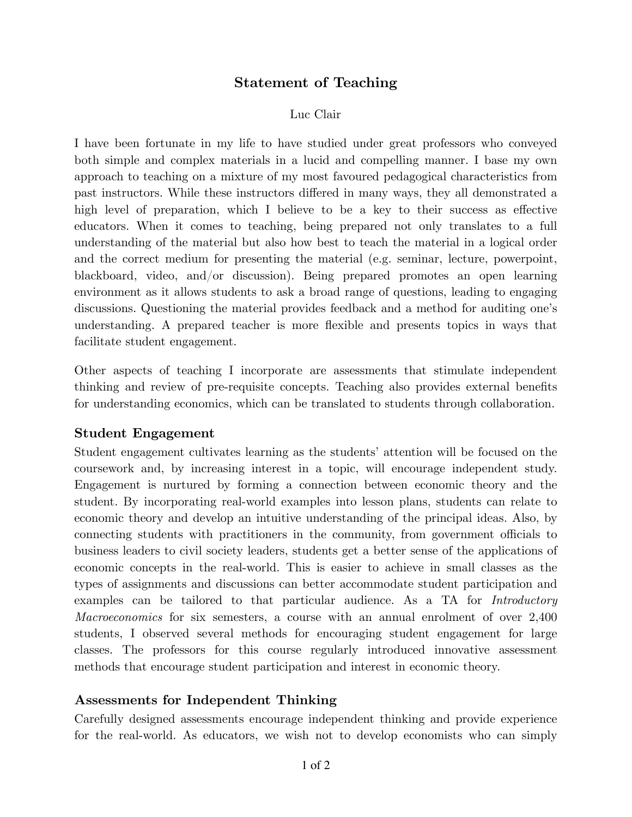# **Statement of Teaching**

#### Luc Clair

I have been fortunate in my life to have studied under great professors who conveyed both simple and complex materials in a lucid and compelling manner. I base my own approach to teaching on a mixture of my most favoured pedagogical characteristics from past instructors. While these instructors differed in many ways, they all demonstrated a high level of preparation, which I believe to be a key to their success as effective educators. When it comes to teaching, being prepared not only translates to a full understanding of the material but also how best to teach the material in a logical order and the correct medium for presenting the material (e.g. seminar, lecture, powerpoint, blackboard, video, and/or discussion). Being prepared promotes an open learning environment as it allows students to ask a broad range of questions, leading to engaging discussions. Questioning the material provides feedback and a method for auditing one's understanding. A prepared teacher is more flexible and presents topics in ways that facilitate student engagement.

Other aspects of teaching I incorporate are assessments that stimulate independent thinking and review of pre-requisite concepts. Teaching also provides external benefits for understanding economics, which can be translated to students through collaboration.

### **Student Engagement**

Student engagement cultivates learning as the students' attention will be focused on the coursework and, by increasing interest in a topic, will encourage independent study. Engagement is nurtured by forming a connection between economic theory and the student. By incorporating real-world examples into lesson plans, students can relate to economic theory and develop an intuitive understanding of the principal ideas. Also, by connecting students with practitioners in the community, from government officials to business leaders to civil society leaders, students get a better sense of the applications of economic concepts in the real-world. This is easier to achieve in small classes as the types of assignments and discussions can better accommodate student participation and examples can be tailored to that particular audience. As a TA for *Introductory Macroeconomics* for six semesters, a course with an annual enrolment of over 2,400 students, I observed several methods for encouraging student engagement for large classes. The professors for this course regularly introduced innovative assessment methods that encourage student participation and interest in economic theory.

### **Assessments for Independent Thinking**

Carefully designed assessments encourage independent thinking and provide experience for the real-world. As educators, we wish not to develop economists who can simply